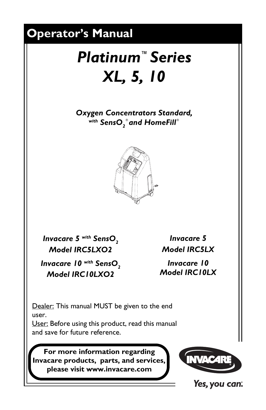<span id="page-0-0"></span>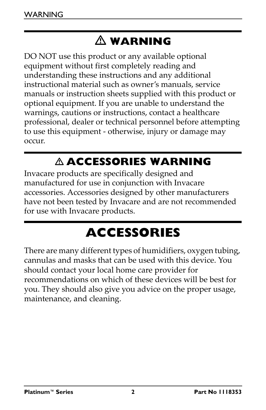# - **WARNING**

DO NOT use this product or any available optional equipment without first completely reading and understanding these instructions and any additional instructional material such as owner's manuals, service manuals or instruction sheets supplied with this product or optional equipment. If you are unable to understand the warnings, cautions or instructions, contact a healthcare professional, dealer or technical personnel before attempting to use this equipment ‐ otherwise, injury or damage may occur.

# - **ACCESSORIES WARNING**

Invacare products are specifically designed and manufactured for use in conjunction with Invacare accessories. Accessories designed by other manufacturers have not been tested by Invacare and are not recommended for use with Invacare products.

# **ACCESSORIES**

<span id="page-1-0"></span>There are many different types of humidifiers, oxygen tubing, cannulas and masks that can be used with this device. You should contact your local home care provider for recommendations on which of these devices will be best for you. They should also give you advice on the proper usage, maintenance, and cleaning.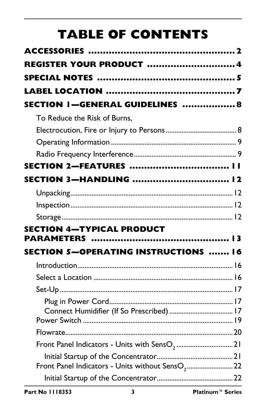# **TABLE OF CONTENTS**

| <b>REGISTER YOUR PRODUCT 4</b>                            |  |
|-----------------------------------------------------------|--|
|                                                           |  |
|                                                           |  |
| SECTION I-GENERAL GUIDELINES  8                           |  |
| To Reduce the Risk of Burns,                              |  |
|                                                           |  |
|                                                           |  |
|                                                           |  |
| SECTION 2-FEATURES                                        |  |
| SECTION 3-HANDLING  12                                    |  |
|                                                           |  |
|                                                           |  |
|                                                           |  |
| <b>SECTION 4-TYPICAL PRODUCT</b>                          |  |
|                                                           |  |
| <b>SECTION 5-OPERATING INSTRUCTIONS  16</b>               |  |
|                                                           |  |
|                                                           |  |
|                                                           |  |
|                                                           |  |
|                                                           |  |
|                                                           |  |
| Front Panel Indicators - Units with SensO <sub>2</sub> 21 |  |
|                                                           |  |
|                                                           |  |
|                                                           |  |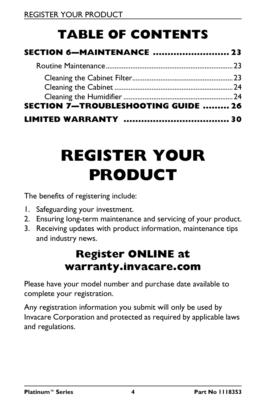# **TABLE OF CONTENTS**

| SECTION 7-TROUBLESHOOTING GUIDE  26 |  |
|-------------------------------------|--|
|                                     |  |

# <span id="page-3-0"></span>**REGISTER YOUR PRODUCT**

The benefits of registering include:

- 1. Safeguarding your investment.
- 2. Ensuring long-term maintenance and servicing of your product.
- 3. Receiving updates with product information, maintenance tips and industry news.

### **Register ONLINE at warranty.invacare.com**

Please have your model number and purchase date available to complete your registration.

Any registration information you submit will only be used by Invacare Corporation and protected as required by applicable laws and regulations.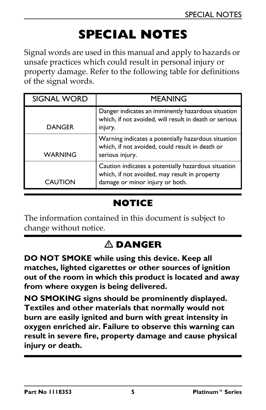# **SPECIAL NOTES**

<span id="page-4-0"></span>Signal words are used in this manual and apply to hazards or unsafe practices which could result in personal injury or property damage. Refer to the following table for definitions of the signal words.

| <b>SIGNAL WORD</b> | <b>MEANING</b>                                                                                                                          |
|--------------------|-----------------------------------------------------------------------------------------------------------------------------------------|
| <b>DANGER</b>      | Danger indicates an imminently hazardous situation<br>which, if not avoided, will result in death or serious<br>injury.                 |
| WARNING            | Warning indicates a potentially hazardous situation<br>which, if not avoided, could result in death or<br>serious injury.               |
| CAUTION            | Caution indicates a potentially hazardous situation<br>which, if not avoided, may result in property<br>damage or minor injury or both. |

### **NOTICE**

The information contained in this document is subject to change without notice.

### **DANGER**

**DO NOT SMOKE while using this device. Keep all matches, lighted cigarettes or other sources of ignition out of the room in which this product is located and away from where oxygen is being delivered.**

**NO SMOKING signs should be prominently displayed. Textiles and other materials that normally would not burn are easily ignited and burn with great intensity in oxygen enriched air. Failure to observe this warning can result in severe fire, property damage and cause physical injury or death.**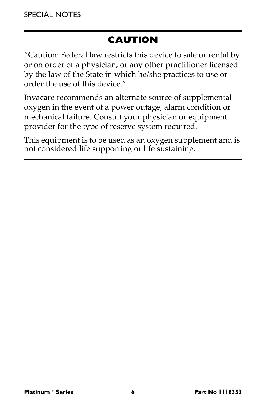### **CAUTION**

"Caution: Federal law restricts this device to sale or rental by or on order of a physician, or any other practitioner licensed by the law of the State in which he/she practices to use or order the use of this device."

Invacare recommends an alternate source of supplemental oxygen in the event of a power outage, alarm condition or mechanical failure. Consult your physician or equipment provider for the type of reserve system required.

This equipment is to be used as an oxygen supplement and is not considered life supporting or life sustaining.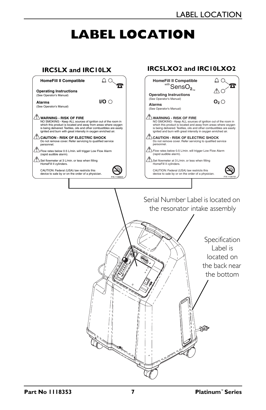# **LABEL LOCATION**

<span id="page-6-0"></span>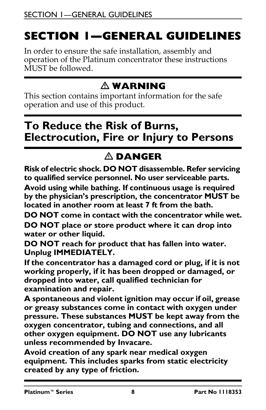# <span id="page-7-0"></span>**SECTION 1—GENERAL GUIDELINES**

In order to ensure the safe installation, assembly and operation of the Platinum concentrator these instructions MUST be followed.

### - **WARNING**

This section contains important information for the safe operation and use of this product.

### <span id="page-7-1"></span>**To Reduce the Risk of Burns, Electrocution, Fire or Injury to Persons**

## **DANGER**

**Risk of electric shock. DO NOT disassemble. Refer servicing to qualified service personnel. No user serviceable parts.**

**Avoid using while bathing. If continuous usage is required by the physician's prescription, the concentrator MUST be located in another room at least 7 ft from the bath.**

**DO NOT come in contact with the concentrator while wet.**

**DO NOT place or store product where it can drop into water or other liquid.**

**DO NOT reach for product that has fallen into water. Unplug IMMEDIATELY.**

**If the concentrator has a damaged cord or plug, if it is not working properly, if it has been dropped or damaged, or dropped into water, call qualified technician for examination and repair.** 

**A spontaneous and violent ignition may occur if oil, grease or greasy substances come in contact with oxygen under pressure. These substances MUST be kept away from the oxygen concentrator, tubing and connections, and all other oxygen equipment. DO NOT use any lubricants unless recommended by Invacare.**

**Avoid creation of any spark near medical oxygen equipment. This includes sparks from static electricity created by any type of friction.**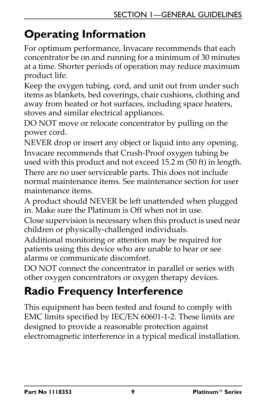# <span id="page-8-0"></span>**Operating Information**

For optimum performance, Invacare recommends that each concentrator be on and running for a minimum of 30 minutes at a time. Shorter periods of operation may reduce maximum product life.

Keep the oxygen tubing, cord, and unit out from under such items as blankets, bed coverings, chair cushions, clothing and away from heated or hot surfaces, including space heaters, stoves and similar electrical appliances.

DO NOT move or relocate concentrator by pulling on the power cord.

NEVER drop or insert any object or liquid into any opening. Invacare recommends that Crush‐Proof oxygen tubing be used with this product and not exceed 15.2 m (50 ft) in length.

There are no user serviceable parts. This does not include normal maintenance items. See maintenance section for user maintenance items.

A product should NEVER be left unattended when plugged in. Make sure the Platinum is Off when not in use.

Close supervision is necessary when this product is used near children or physically‐challenged individuals.

Additional monitoring or attention may be required for patients using this device who are unable to hear or see alarms or communicate discomfort.

DO NOT connect the concentrator in parallel or series with other oxygen concentrators or oxygen therapy devices.

# <span id="page-8-1"></span>**Radio Frequency Interference**

This equipment has been tested and found to comply with EMC limits specified by IEC/EN 60601‐1‐2. These limits are designed to provide a reasonable protection against electromagnetic interference in a typical medical installation.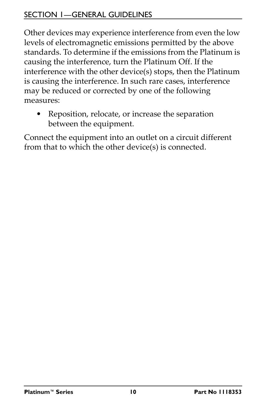#### SECTION 1—GENERAL GUIDELINES

Other devices may experience interference from even the low levels of electromagnetic emissions permitted by the above standards. To determine if the emissions from the Platinum is causing the interference, turn the Platinum Off. If the interference with the other device(s) stops, then the Platinum is causing the interference. In such rare cases, interference may be reduced or corrected by one of the following measures:

• Reposition, relocate, or increase the separation between the equipment.

Connect the equipment into an outlet on a circuit different from that to which the other device(s) is connected.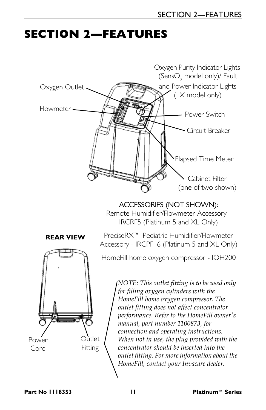# <span id="page-10-0"></span>**SECTION 2—FEATURES**

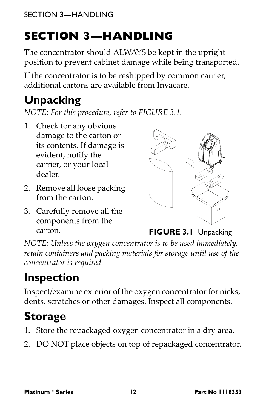# <span id="page-11-0"></span>**SECTION 3—HANDLING**

The concentrator should ALWAYS be kept in the upright position to prevent cabinet damage while being transported.

If the concentrator is to be reshipped by common carrier, additional cartons are available from Invacare.

# <span id="page-11-1"></span>**Unpacking**

*NOTE: For this procedure, refer to [FIGURE](#page-11-4) 3.1.*

- 1. Check for any obvious damage to the carton or its contents. If damage is evident, notify the carrier, or your local dealer.
- 2. Remove all loose packing from the carton.
- 3. Carefully remove all the components from the



carton. **FIGURE 3.1** [Unpacking](#page-11-1)

<span id="page-11-4"></span>*NOTE: Unless the oxygen concentrator is to be used immediately, retain containers and packing materials for storage until use of the concentrator is required.*

# <span id="page-11-2"></span>**Inspection**

Inspect/examine exterior of the oxygen concentrator for nicks, dents, scratches or other damages. Inspect all components.

# <span id="page-11-3"></span>**Storage**

- 1. Store the repackaged oxygen concentrator in a dry area.
- 2. DO NOT place objects on top of repackaged concentrator.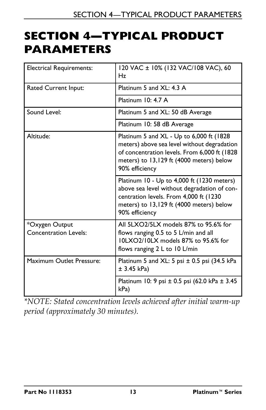## <span id="page-12-0"></span>**SECTION 4—TYPICAL PRODUCT PARAMETERS**

| <b>Electrical Requirements:</b>                | 120 VAC ± 10% (132 VAC/108 VAC), 60<br>Hz                                                                                                                                                              |  |
|------------------------------------------------|--------------------------------------------------------------------------------------------------------------------------------------------------------------------------------------------------------|--|
| Rated Current Input:                           | Platinum 5 and XL: 4.3 A                                                                                                                                                                               |  |
|                                                | Platinum $10: 4.7 A$                                                                                                                                                                                   |  |
| Sound Level:                                   | Platinum 5 and XL: 50 dB Average                                                                                                                                                                       |  |
|                                                | Platinum 10: 58 dB Average                                                                                                                                                                             |  |
| Altitude:                                      | Platinum 5 and XL - Up to 6,000 ft (1828<br>meters) above sea level without degradation<br>of concentration levels. From 6,000 ft (1828)<br>meters) to 13,129 ft (4000 meters) below<br>90% efficiency |  |
|                                                | Platinum 10 - Up to 4,000 ft (1230 meters)<br>above sea level without degradation of con-<br>centration levels. From 4,000 ft (1230<br>meters) to 13,129 ft (4000 meters) below<br>90% efficiency      |  |
| *Oxygen Output<br><b>Concentration Levels:</b> | All 5LXO2/5LX models 87% to 95.6% for<br>flows ranging 0.5 to 5 L/min and all<br>10LXO2/10LX models 87% to 95.6% for<br>flows ranging 2 L to 10 L/min                                                  |  |
| Maximum Outlet Pressure:                       | Platinum 5 and $XL: 5$ psi $± 0.5$ psi (34.5 kPa<br>± 3.45 kPa)                                                                                                                                        |  |
|                                                | Platinum 10: 9 psi ± 0.5 psi (62.0 kPa ± 3.45<br>kPa)                                                                                                                                                  |  |

*\*NOTE: Stated concentration levels achieved after initial warm‐up period (approximately 30 minutes).*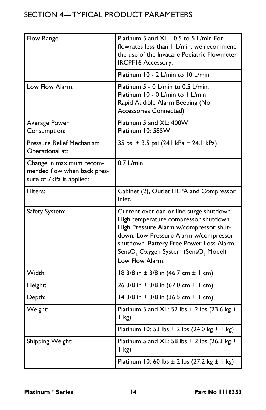#### SECTION 4—TYPICAL PRODUCT PARAMETERS

| Flow Range:                                                                         | Platinum 5 and XL - 0.5 to 5 L/min For<br>flowrates less than 1 L/min, we recommend<br>the use of the Invacare Pediatric Flowmeter<br><b>IRCPF16 Accessory.</b>                                                                                                                                    |
|-------------------------------------------------------------------------------------|----------------------------------------------------------------------------------------------------------------------------------------------------------------------------------------------------------------------------------------------------------------------------------------------------|
|                                                                                     | Platinum 10 - 2 L/min to 10 L/min                                                                                                                                                                                                                                                                  |
| Low Flow Alarm:                                                                     | Platinum 5 - 0 L/min to 0.5 L/min,<br>Platinum 10 - 0 L/min to 1 L/min<br>Rapid Audible Alarm Beeping (No<br><b>Accessories Connected)</b>                                                                                                                                                         |
| Average Power<br>Consumption:                                                       | Platinum 5 and XL: 400W<br>Platinum 10: 585W                                                                                                                                                                                                                                                       |
| <b>Pressure Relief Mechanism</b><br>Operational at:                                 | 35 psi ± 3.5 psi (241 kPa ± 24.1 kPa)                                                                                                                                                                                                                                                              |
| Change in maximum recom-<br>mended flow when back pres-<br>sure of 7kPa is applied: | $0.7$ L/min                                                                                                                                                                                                                                                                                        |
| Filters:                                                                            | Cabinet (2), Outlet HEPA and Compressor<br>Inlet.                                                                                                                                                                                                                                                  |
| Safety System:                                                                      | Current overload or line surge shutdown.<br>High temperature compressor shutdown.<br>High Pressure Alarm w/compressor shut-<br>down. Low Pressure Alarm w/compressor<br>shutdown. Battery Free Power Loss Alarm.<br>SensO <sub>2</sub> Oxygen System (SensO <sub>2</sub> Model)<br>Low Flow Alarm. |
| Width:                                                                              | 18 3/8 in $\pm$ 3/8 in (46.7 cm $\pm$ 1 cm)                                                                                                                                                                                                                                                        |
| Height:                                                                             | 26 3/8 in $\pm$ 3/8 in (67.0 cm $\pm$ 1 cm)                                                                                                                                                                                                                                                        |
| Depth:                                                                              | 14 3/8 in $\pm$ 3/8 in (36.5 cm $\pm$ 1 cm)                                                                                                                                                                                                                                                        |
| Weight:                                                                             | Platinum 5 and XL: 52 lbs $\pm$ 2 lbs (23.6 kg $\pm$<br>$l$ kg)                                                                                                                                                                                                                                    |
|                                                                                     | Platinum 10: 53 lbs $\pm$ 2 lbs (24.0 kg $\pm$ 1 kg)                                                                                                                                                                                                                                               |
| Shipping Weight:                                                                    | Platinum 5 and XL: 58 lbs $\pm$ 2 lbs (26.3 kg $\pm$<br>$\vert$ kg)                                                                                                                                                                                                                                |
|                                                                                     | Platinum 10: 60 lbs $\pm$ 2 lbs (27.2 kg $\pm$ 1 kg)                                                                                                                                                                                                                                               |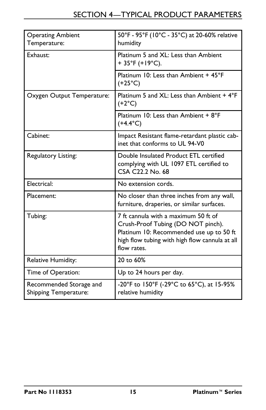| <b>Operating Ambient</b><br>Temperature:                | 50°F - 95°F (10°C - 35°C) at 20-60% relative<br>humidity                                                                                                                                |
|---------------------------------------------------------|-----------------------------------------------------------------------------------------------------------------------------------------------------------------------------------------|
| Exhaust:                                                | Platinum 5 and XL: Less than Ambient<br>+ 35°F (+19°C).                                                                                                                                 |
|                                                         | Platinum 10: Less than Ambient + 45°F<br>$(+25^{\circ}C)$                                                                                                                               |
| Oxygen Output Temperature:                              | Platinum 5 and XL: Less than Ambient + 4°F<br>$(+2°C)$                                                                                                                                  |
|                                                         | Platinum 10: Less than Ambient + 8°F<br>$(+4.4^{\circ}C)$                                                                                                                               |
| Cabinet:                                                | Impact Resistant flame-retardant plastic cab-<br>inet that conforms to UL 94-V0                                                                                                         |
| Regulatory Listing:                                     | Double Insulated Product ETL certified<br>complying with UL 1097 ETL certified to<br>CSA C22.2 No. 68                                                                                   |
| Electrical:                                             | No extension cords.                                                                                                                                                                     |
| Placement:                                              | No closer than three inches from any wall,<br>furniture, draperies, or similar surfaces.                                                                                                |
| Tubing:                                                 | 7 ft cannula with a maximum 50 ft of<br>Crush-Proof Tubing (DO NOT pinch).<br>Platinum 10: Recommended use up to 50 ft<br>high flow tubing with high flow cannula at all<br>flow rates. |
| Relative Humidity:                                      | 20 to 60%                                                                                                                                                                               |
| Time of Operation:                                      | Up to 24 hours per day.                                                                                                                                                                 |
| Recommended Storage and<br><b>Shipping Temperature:</b> | -20°F to 150°F (-29°C to 65°C), at 15-95%<br>relative humidity                                                                                                                          |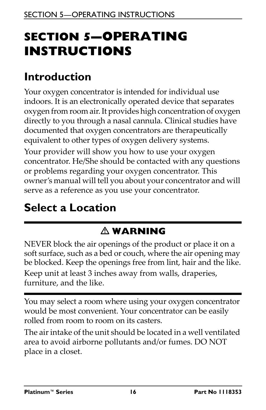# <span id="page-15-0"></span>**SECTION 5—OPERATING INSTRUCTIONS**

# <span id="page-15-1"></span>**Introduction**

Your oxygen concentrator is intended for individual use indoors. It is an electronically operated device that separates oxygen from room air.It provides high concentration of oxygen directly to you through a nasal cannula. Clinical studies have documented that oxygen concentrators are therapeutically equivalent to other types of oxygen delivery systems.

Your provider will show you how to use your oxygen concentrator. He/She should be contacted with any questions or problems regarding your oxygen concentrator. This owner's manual will tell you about your concentrator and will serve as a reference as you use your concentrator.

# <span id="page-15-2"></span>**Select a Location**

### - **WARNING**

NEVER block the air openings of the product or place it on a soft surface, such as a bed or couch, where the air opening may be blocked. Keep the openings free from lint, hair and the like. Keep unit at least 3 inches away from walls, draperies, furniture, and the like.

You may select a room where using your oxygen concentrator would be most convenient. Your concentrator can be easily rolled from room to room on its casters.

The air intake of the unit should be located in a well ventilated area to avoid airborne pollutants and/or fumes. DO NOT place in a closet.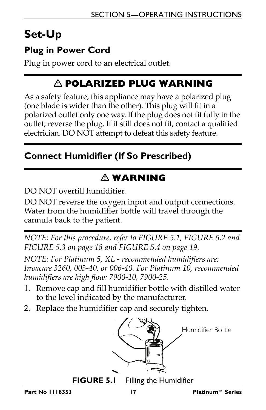# <span id="page-16-0"></span>**Set-Up**

### <span id="page-16-1"></span>**Plug in Power Cord**

Plug in power cord to an electrical outlet.

### - **POLARIZED PLUG WARNING**

As a safety feature, this appliance may have a polarized plug (one blade is wider than the other). This plug will fit in a polarized outlet only one way. If the plug does not fit fully in the outlet, reverse the plug. If it still does not fit, contact a qualified electrician. DO NOT attempt to defeat this safety feature.

#### <span id="page-16-2"></span>**Connect Humidifier (If So Prescribed)**

## - **WARNING**

DO NOT overfill humidifier.

DO NOT reverse the oxygen input and output connections. Water from the humidifier bottle will travel through the cannula back to the patient.

*NOTE: For this procedure, refer to [FIGURE](#page-16-3) 5.1, [FIGURE](#page-17-0) 5.2 and [FIGURE](#page-17-1) 5.3 on page 18 and [FIGURE](#page-18-1) 5.4 on page 19.*

*NOTE: For Platinum 5, XL ‐ recommended humidifiers are: Invacare 3260, 003‐40, or 006‐40. For Platinum 10, recommended humidifiers are high flow: 7900‐10, 7900‐25.*

- 1. Remove cap and fill humidifier bottle with distilled water to the level indicated by the manufacturer.
- 2. Replace the humidifier cap and securely tighten.



**FIGURE 5.1** Filling the Humidifier

<span id="page-16-3"></span>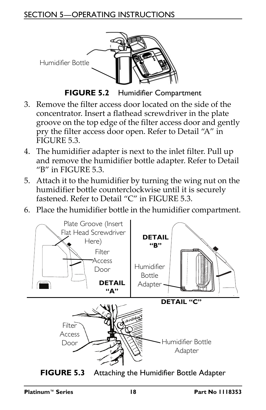#### SECTION 5—OPERATING INSTRUCTIONS



**FIGURE 5.2** Humidifier Compartment

- <span id="page-17-0"></span>3. Remove the filter access door located on the side of the concentrator. Insert a flathead screwdriver in the plate groove on the top edge of the filter access door and gently pry the filter access door open. Refer to [Detail](#page-17-2) "A" in [FIGURE](#page-17-1) 5.3.
- 4. The humidifier adapter is next to the inlet filter. Pull up and remove the humidifier bottle adapter. Refer to [Detail](#page-17-3) ["B"](#page-17-3) in [FIGURE](#page-17-1) 5.3.
- 5. Attach it to the humidifier by turning the wing nut on the humidifier bottle counterclockwise until it is securely fastened. Refer to [Detail](#page-17-4) "C" in [FIGURE](#page-17-1) 5.3.
- 6. Place the humidifier bottle in the humidifier compartment.

<span id="page-17-3"></span><span id="page-17-2"></span>

<span id="page-17-4"></span><span id="page-17-1"></span>**FIGURE 5.3** Attaching the Humidifier Bottle Adapter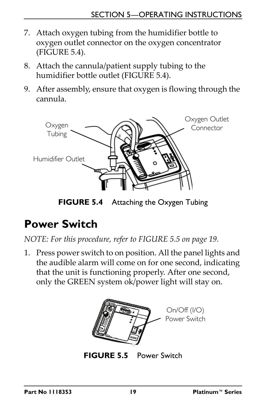- 7. Attach oxygen tubing from the humidifier bottle to oxygen outlet connector on the oxygen concentrator [\(FIGURE](#page-18-1) 5.4).
- 8. Attach the cannula/patient supply tubing to the humidifier bottle outlet [\(FIGURE](#page-18-1) 5.4).
- 9. After assembly, ensure that oxygen is flowing through the cannula.



**FIGURE 5.4** Attaching the Oxygen Tubing

# <span id="page-18-1"></span><span id="page-18-0"></span>**Power Switch**

*NOTE: For this procedure, refer to [FIGURE](#page-18-2) 5.5 on page 19.*

1. Press power switch to on position. All the panel lights and the audible alarm will come on for one second, indicating that the unit is functioning properly. After one second, only the GREEN system ok/power light will stay on.



<span id="page-18-2"></span>**FIGURE 5.5** [Power Switch](#page-18-0)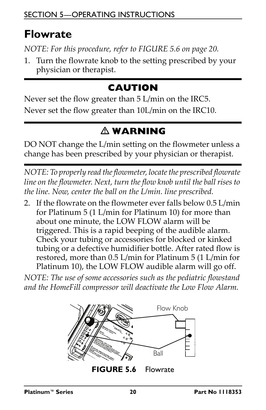### <span id="page-19-0"></span>**Flowrate**

*NOTE: For this procedure, refer to [FIGURE](#page-19-1) 5.6 on page 20.*

1. Turn the flowrate knob to the setting prescribed by your physician or therapist.

### **CAUTION**

Never set the flow greater than 5 L/min on the IRC5. Never set the flow greater than 10L/min on the IRC10.

### - **WARNING**

DO NOT change the L/min setting on the flowmeter unless a change has been prescribed by your physician or therapist.

*NOTE: To properly read theflowmeter, locatethe prescribed flowrate line on the flowmeter. Next, turn the flow knob until the ball rises to the line. Now, center the ball on the L/min. line prescribed.*

2. If the flowrate on the flowmeter ever falls below 0.5 L/min for Platinum 5 (1 L/min for Platinum 10) for more than about one minute, the LOW FLOW alarm will be triggered. This is a rapid beeping of the audible alarm. Check your tubing or accessories for blocked or kinked tubing or a defective humidifier bottle. After rated flow is restored, more than 0.5 L/min for Platinum 5 (1 L/min for Platinum 10), the LOW FLOW audible alarm will go off.

*NOTE: The use of some accessories such as the pediatric flowstand and the HomeFill compressor will deactivate the Low Flow Alarm.*

<span id="page-19-1"></span>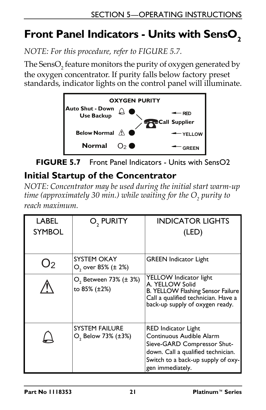# <span id="page-20-0"></span>Front Panel Indicators - Units with SensO<sub>2</sub>

*NOTE: For this procedure, refer to [FIGURE](#page-20-2) 5.7.*

The SensO<sub>2</sub> feature monitors the purity of oxygen generated by the oxygen concentrator. If purity falls below factory preset standards, indicator lights on the control panel will illuminate.



<span id="page-20-2"></span>

### <span id="page-20-1"></span>**Initial Startup of the Concentrator**

*NOTE: Concentrator may be used during the initial start warm‐up time* (approximately 30 *min.*) *while waiting* for the O<sub>2</sub> purity to *reach maximum.*

| LABEL<br><b>SYMBOL</b> | O, PURITY                                               | <b>INDICATOR LIGHTS</b><br>(LED)                                                                                                                                               |
|------------------------|---------------------------------------------------------|--------------------------------------------------------------------------------------------------------------------------------------------------------------------------------|
| J2                     | SYSTEM OKAY<br>$O2$ over 85% ( $\pm$ 2%)                | <b>GREEN</b> Indicator Light                                                                                                                                                   |
|                        | $O_2$ Between 73% ( $\pm$ 3%)<br>to 85% (±2%)           | YELLOW Indicator light<br>A. YELLOW Solid<br>B. YELLOW Flashing Sensor Failure<br>Call a qualified technician. Have a<br>back-up supply of oxygen ready.                       |
|                        | <b>SYSTEM FAILURE</b><br>O <sub>2</sub> Below 73% (±3%) | RED Indicator Light<br>Continuous Audible Alarm<br>Sieve-GARD Compressor Shut-<br>down. Call a qualified technician.<br>Switch to a back-up supply of oxy-<br>gen immediately. |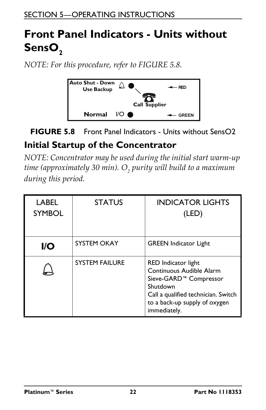# <span id="page-21-0"></span>**Front Panel Indicators - Units without**  SensO<sub>2</sub>

*NOTE: For this procedure, refer to [FIGURE](#page-21-2) 5.8.*



#### <span id="page-21-2"></span>**FIGURE 5.8** [Front Panel Indicators - Units without SensO2](#page-21-0)

#### <span id="page-21-1"></span>**Initial Startup of the Concentrator**

*NOTE: Concentrator may be used during the initial start warm‐up time* (approximately 30 min). O<sub>2</sub> purity will build to a maximum *during this period.*

| <b>LABEL</b><br><b>SYMBOL</b> | <b>STATUS</b>         | <b>INDICATOR LIGHTS</b><br>(LED)                                                                                                                                                          |
|-------------------------------|-----------------------|-------------------------------------------------------------------------------------------------------------------------------------------------------------------------------------------|
| <b>I/O</b>                    | <b>SYSTEM OKAY</b>    | <b>GREEN</b> Indicator Light                                                                                                                                                              |
|                               | <b>SYSTEM FAILURE</b> | RED Indicator light<br>Continuous Audible Alarm<br>Sieve-GARD <sup>™</sup> Compressor<br>Shutdown<br>Call a qualified technician. Switch<br>to a back-up supply of oxygen<br>immediately. |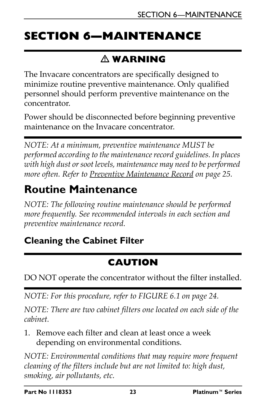# <span id="page-22-0"></span>**SECTION 6—MAINTENANCE**

### - **WARNING**

The Invacare concentrators are specifically designed to minimize routine preventive maintenance. Only qualified personnel should perform preventive maintenance on the concentrator.

Power should be disconnected before beginning preventive maintenance on the Invacare concentrator.

*NOTE: At a minimum, preventive maintenance MUST be performed according to the maintenancerecord guidelines. In places with high dust orsoot levels, maintenance may need to be performed more often. Refer to Preventive [Maintenance](#page-24-0) Record on page 25.*

### <span id="page-22-1"></span>**Routine Maintenance**

*NOTE: The following routine maintenance should be performed more frequently. See recommended intervals in each section and preventive maintenance record.*

### <span id="page-22-2"></span>**Cleaning the Cabinet Filter**

### **CAUTION**

DO NOT operate the concentrator without the filter installed.

*NOTE: For this procedure, refer to [FIGURE](#page-23-2) 6.1 on page 24.*

*NOTE: There are two cabinet filters one located on each side of the cabinet.*

1. Remove each filter and clean at least once a week depending on environmental conditions.

*NOTE: Environmental conditions that may require more frequent cleaning of the filters include but are not limited to: high dust, smoking, air pollutants, etc.*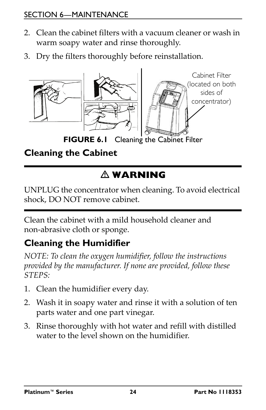#### SECTION 6—MAINTENANCE

- 2. Clean the cabinet filters with a vacuum cleaner or wash in warm soapy water and rinse thoroughly.
- 3. Dry the filters thoroughly before reinstallation.



**FIGURE 6.1** [Cleaning the Cabinet Filter](#page-22-2)

### <span id="page-23-2"></span><span id="page-23-0"></span>**Cleaning the Cabinet**

### - **WARNING**

UNPLUG the concentrator when cleaning. To avoid electrical shock, DO NOT remove cabinet.

Clean the cabinet with a mild household cleaner and non‐abrasive cloth or sponge.

### <span id="page-23-1"></span>**Cleaning the Humidifier**

*NOTE: To clean the oxygen humidifier, follow the instructions provided by the manufacturer. If none are provided, follow these STEPS:*

- 1. Clean the humidifier every day.
- 2. Wash it in soapy water and rinse it with a solution of ten parts water and one part vinegar.
- 3. Rinse thoroughly with hot water and refill with distilled water to the level shown on the humidifier.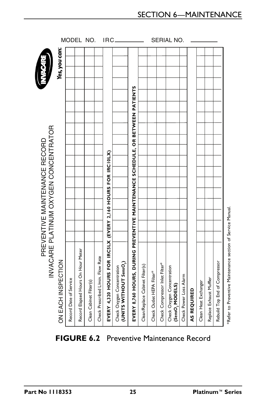#### MODEL NO. IRC\_\_\_\_\_\_\_\_\_\_\_\_\_ SERIAL NO. Yes, you can: **EVERY 8,760 HOURS, DURING PREVENTIVE MAINTENANCE SCHEDULE, OR BETWEEN PATIENTS** INVACARE PLATINUM OXYGEN CONCENTRATOR INVACARE PLATINUM OXYGEN CONCENTRATOR PREVENTIVE MAINTENANCE RECORD PREVENTIVE MAINTENANCE RECORD **EVERY 4,320 HOURS FOR IRC5LX (EVERY 2,160 HOURS FOR IRC10LX) 'Refer to Preventive Maintenance section of Service Manual** Record Elapsed Hours On Hour Meter Check Prescribed L/min. Flow Rate **CINCE ACH INSPECTION**<br>
Record Date of Service<br>
Record Elapsed Hours On Hour<br>
Record Elapsed Main. Flow Ra<br>
Clean Cabinet Filter(s)<br>
Clean Cabinet Filter(s)<br> **EVERY 4,320 HOURS, DUR**<br> **EVERY 8,760 HOURS, DUR**<br> **EVERY 8,760** Rebuild Top End of Compressor Rebuild Top End of Compressor **) (UNITS WITHOUT** *SensO***2** Check Compressor Inlet Filter\* Clean/Replace Cabinet Filter(s) Check Oxygen Concentration Check Oxygen Concentration Check Outlet HEPA Filter\* Check Power Loss Alarm Replace Exhaust Muffler Record Date of Service Clean Cabinet Filter(s) Clean Heat Exchanger **(***SensO***2 MODELS) AS REQUIRED**

<span id="page-24-0"></span>

\*Refer to Preventive Maintenance section of Service Manual.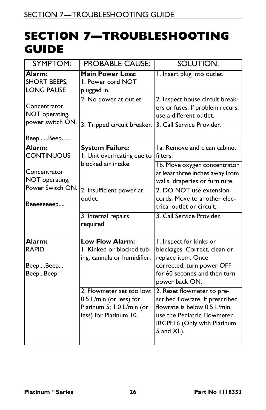### <span id="page-25-0"></span>**SECTION 7—TROUBLESHOOTING GUIDE**

| SYMPTOM:                                                        | <b>PROBABLE CAUSE:</b>                                                                                      | <b>SOLUTION:</b>                                                                                                                                                          |
|-----------------------------------------------------------------|-------------------------------------------------------------------------------------------------------------|---------------------------------------------------------------------------------------------------------------------------------------------------------------------------|
| Alarm:<br><b>SHORT BEEPS,</b><br><b>LONG PAUSE</b>              | <b>Main Power Loss:</b><br>I. Power cord NOT<br>plugged in.                                                 | I. Insert plug into outlet.                                                                                                                                               |
| Concentrator<br>NOT operating,<br>power switch ON.              | 2. No power at outlet.                                                                                      | 2. Inspect house circuit break-<br>ers or fuses. If problem recurs,<br>use a different outlet.                                                                            |
| BeepBeep                                                        | 3. Tripped circuit breaker.                                                                                 | 3. Call Service Provider.                                                                                                                                                 |
| Alarm:<br><b>CONTINUOUS</b>                                     | <b>System Failure:</b><br>I. Unit overheating due to<br>blocked air intake.                                 | Ia. Remove and clean cabinet<br>filters.                                                                                                                                  |
| Concentrator<br>NOT operating,<br>Power Switch ON.<br>Beeeeeeep |                                                                                                             | Ib. Move oxygen concentrator<br>at least three inches away from<br>walls, draperies or furniture.                                                                         |
|                                                                 | 2. Insufficient power at<br>outlet.                                                                         | 2. DO NOT use extension<br>cords. Move to another elec-<br>trical outlet or circuit.                                                                                      |
|                                                                 | 3. Internal repairs<br>required                                                                             | 3. Call Service Provider.                                                                                                                                                 |
| Alarm:<br><b>RAPID</b><br>BeepBeep<br>BeepBeep                  | <b>Low Flow Alarm:</b><br>1. Kinked or blocked tub-<br>ing, cannula or humidifier.                          | I. Inspect for kinks or<br>blockages. Correct, clean or<br>replace item. Once<br>corrected, turn power OFF<br>for 60 seconds and then turn<br>power back ON.              |
|                                                                 | 2. Flowmeter set too low:<br>0.5 L/min (or less) for<br>Platinum 5; 1.0 L/min (or<br>less) for Platinum 10. | 2. Reset flowmeter to pre-<br>scribed flowrate. If prescribed<br>flowrate is below 0.5 L/min,<br>use the Pediatric Flowmeter<br>IRCPF16 (Only with Platinum<br>5 and XL). |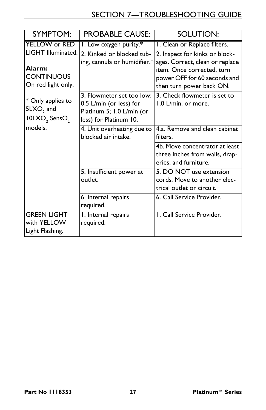| <b>SYMPTOM:</b>                                                                     | <b>PROBABLE CAUSE:</b>                                                                                      | <b>SOLUTION:</b>                                                                                                          |
|-------------------------------------------------------------------------------------|-------------------------------------------------------------------------------------------------------------|---------------------------------------------------------------------------------------------------------------------------|
| YELLOW or RED                                                                       | 1. Low oxygen purity.*                                                                                      | I. Clean or Replace filters.                                                                                              |
| LIGHT Illuminated.                                                                  | 2. Kinked or blocked tub-                                                                                   | 2. Inspect for kinks or block-                                                                                            |
| Alarm:<br><b>CONTINUOUS</b><br>On red light only.                                   | ing, cannula or humidifier.*                                                                                | ages. Correct, clean or replace<br>item. Once corrected, turn<br>power OFF for 60 seconds and<br>then turn power back ON. |
| * Only applies to<br>5LXO <sub>2</sub> and<br>IOLXO <sub>2</sub> SensO <sub>2</sub> | 3. Flowmeter set too low:<br>0.5 L/min (or less) for<br>Platinum 5; 1.0 L/min (or<br>less) for Platinum 10. | 3. Check flowmeter is set to<br>1.0 L/min. or more.                                                                       |
| models.                                                                             | 4. Unit overheating due to<br>blocked air intake.                                                           | 4.a. Remove and clean cabinet<br>filters.                                                                                 |
|                                                                                     |                                                                                                             | 4b. Move concentrator at least<br>three inches from walls, drap-<br>eries, and furniture.                                 |
|                                                                                     | 5. Insufficient power at<br>outlet.                                                                         | 5. DO NOT use extension<br>cords. Move to another elec-<br>trical outlet or circuit.                                      |
|                                                                                     | 6. Internal repairs<br>required.                                                                            | 6. Call Service Provider.                                                                                                 |
| <b>GREEN LIGHT</b><br>with YELLOW<br>Light Flashing.                                | I. Internal repairs<br>required.                                                                            | I. Call Service Provider.                                                                                                 |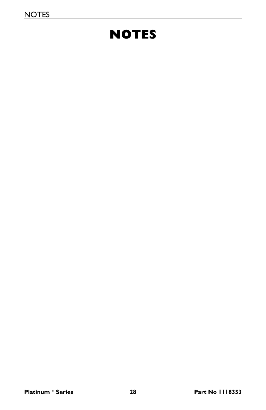# **NOTES**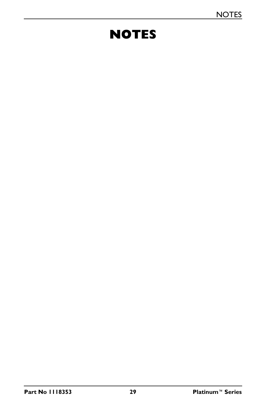# **NOTES**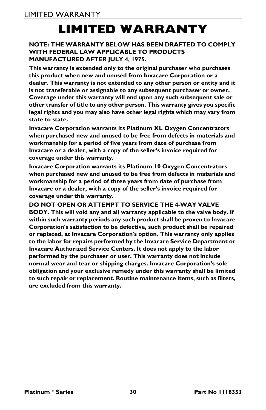# **LIMITED WARRANTY**

#### <span id="page-29-0"></span>**NOTE: THE WARRANTY BELOW HAS BEEN DRAFTED TO COMPLY WITH FEDERAL LAW APPLICABLE TO PRODUCTS MANUFACTURED AFTER JULY 4, 1975.**

**This warranty is extended only to the original purchaser who purchases this product when new and unused from Invacare Corporation or a dealer. This warranty is not extended to any other person or entity and it is not transferable or assignable to any subsequent purchaser or owner. Coverage under this warranty will end upon any such subsequent sale or other transfer of title to any other person. This warranty gives you specific legal rights and you may also have other legal rights which may vary from state to state.**

**Invacare Corporation warrants its Platinum XL Oxygen Concentrators when purchased new and unused to be free from defects in materials and workmanship for a period of five years from date of purchase from Invacare or a dealer, with a copy of the seller's invoice required for coverage under this warranty.** 

**Invacare Corporation warrants its Platinum 10 Oxygen Concentrators when purchased new and unused to be free from defects in materials and workmanship for a period of three years from date of purchase from Invacare or a dealer, with a copy of the seller's invoice required for coverage under this warranty.**

**DO NOT OPEN OR ATTEMPT TO SERVICE THE 4-WAY VALVE BODY. This will void any and all warranty applicable to the valve body. If within such warranty periods any such product shall be proven to Invacare Corporation's satisfaction to be defective, such product shall be repaired or replaced, at Invacare Corporation's option. This warranty only applies to the labor for repairs performed by the Invacare Service Department or Invacare Authorized Service Centers. It does not apply to the labor performed by the purchaser or user. This warranty does not include normal wear and tear or shipping charges. Invacare Corporation's sole obligation and your exclusive remedy under this warranty shall be limited to such repair or replacement. Routine maintenance items, such as filters, are excluded from this warranty.**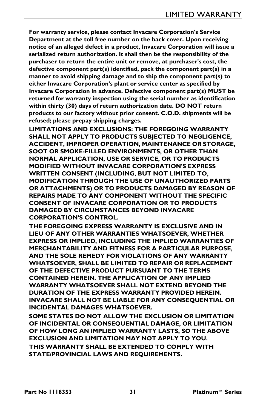**For warranty service, please contact Invacare Corporation's Service Department at the toll free number on the back cover. Upon receiving notice of an alleged defect in a product, Invacare Corporation will issue a serialized return authorization. It shall then be the responsibility of the purchaser to return the entire unit or remove, at purchaser's cost, the defective component part(s) identified, pack the component part(s) in a manner to avoid shipping damage and to ship the component part(s) to either Invacare Corporation's plant or service center as specified by Invacare Corporation in advance. Defective component part(s) MUST be returned for warranty inspection using the serial number as identification within thirty (30) days of return authorization date. DO NOT return products to our factory without prior consent. C.O.D. shipments will be refused; please prepay shipping charges.**

**LIMITATIONS AND EXCLUSIONS: THE FOREGOING WARRANTY SHALL NOT APPLY TO PRODUCTS SUBJECTED TO NEGLIGENCE, ACCIDENT, IMPROPER OPERATION, MAINTENANCE OR STORAGE, SOOT OR SMOKE-FILLED ENVIRONMENTS, OR OTHER THAN NORMAL APPLICATION, USE OR SERVICE, OR TO PRODUCTS MODIFIED WITHOUT INVACARE CORPORATION'S EXPRESS WRITTEN CONSENT (INCLUDING, BUT NOT LIMITED TO, MODIFICATION THROUGH THE USE OF UNAUTHORIZED PARTS OR ATTACHMENTS) OR TO PRODUCTS DAMAGED BY REASON OF REPAIRS MADE TO ANY COMPONENT WITHOUT THE SPECIFIC CONSENT OF INVACARE CORPORATION OR TO PRODUCTS DAMAGED BY CIRCUMSTANCES BEYOND INVACARE CORPORATION'S CONTROL.**

**THE FOREGOING EXPRESS WARRANTY IS EXCLUSIVE AND IN LIEU OF ANY OTHER WARRANTIES WHATSOEVER, WHETHER EXPRESS OR IMPLIED, INCLUDING THE IMPLIED WARRANTIES OF MERCHANTABILITY AND FITNESS FOR A PARTICULAR PURPOSE, AND THE SOLE REMEDY FOR VIOLATIONS OF ANY WARRANTY WHATSOEVER, SHALL BE LIMITED TO REPAIR OR REPLACEMENT OF THE DEFECTIVE PRODUCT PURSUANT TO THE TERMS CONTAINED HEREIN. THE APPLICATION OF ANY IMPLIED WARRANTY WHATSOEVER SHALL NOT EXTEND BEYOND THE DURATION OF THE EXPRESS WARRANTY PROVIDED HEREIN. INVACARE SHALL NOT BE LIABLE FOR ANY CONSEQUENTIAL OR INCIDENTAL DAMAGES WHATSOEVER.**

**SOME STATES DO NOT ALLOW THE EXCLUSION OR LIMITATION OF INCIDENTAL OR CONSEQUENTIAL DAMAGE, OR LIMITATION OF HOW LONG AN IMPLIED WARRANTY LASTS, SO THE ABOVE EXCLUSION AND LIMITATION MAY NOT APPLY TO YOU.**

**THIS WARRANTY SHALL BE EXTENDED TO COMPLY WITH STATE/PROVINCIAL LAWS AND REQUIREMENTS.**